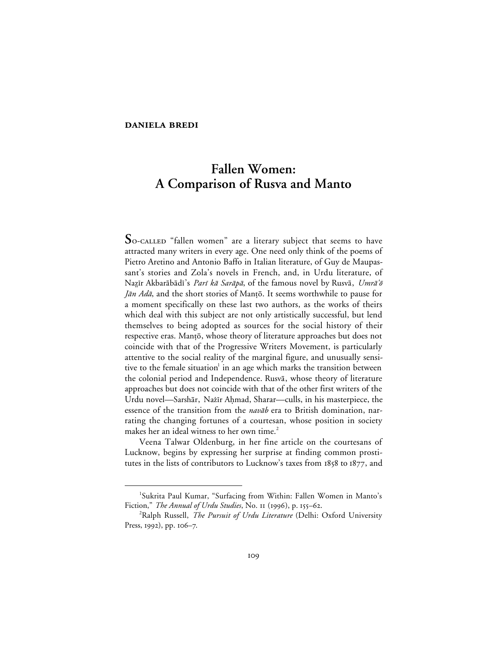## **Fallen Women: A Comparison of Rusva and Manto**

**S**o-called "fallen women" are a literary subject that seems to have attracted many writers in every age. One need only think of the poems of Pietro Aretino and Antonio Baffo in Italian literature, of Guy de Maupassant's stories and Zola's novels in French, and, in Urdu literature, of Nazīr Akbarābādī's Parī kā Sarāpā, of the famous novel by Rusvā, Umrā'õ Jān Adā, and the short stories of Mantō. It seems worthwhile to pause for a moment specifically on these last two authors, as the works of theirs which deal with this subject are not only artistically successful, but lend themselves to being adopted as sources for the social history of their respective eras. Mantō, whose theory of literature approaches but does not coincide with that of the Progressive Writers Movement, is particularly attentive to the social reality of the marginal figure, and unusually sensitive to the female situation<sup>1</sup> in an age which marks the transition between the colonial period and Independence. Rusva, whose theory of literature approaches but does not coincide with that of the other first writers of the Urdu novel—Sarshār, Nažīr Aḥmad, Sharar—culls, in his masterpiece, the essence of the transition from the navab era to British domination, narrating the changing fortunes of a courtesan, whose position in society makes her an ideal witness to her own time.<sup>2</sup>

Veena Talwar Oldenburg, in her fine article on the courtesans of Lucknow, begins by expressing her surprise at finding common prostitutes in the lists of contributors to Lucknow's taxes from 1858 to 1877, and

 $\begin{array}{c}\n\hline\n\end{array}$ Sukrita Paul Kumar, "Surfacing from Within: Fallen Women in Manto's Fiction," *The Annual of Urdu Studies*, No. 11 (1996), p. 155–62.

<sup>2</sup> Ralph Russell, *The Pursuit of Urdu Literature* (Delhi: Oxford University Press,  $1992$ ), pp.  $106 - 7$ .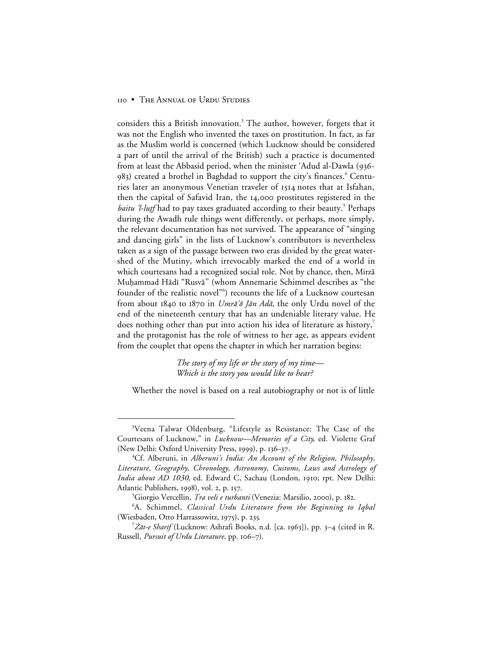considers this a British innovation.<sup>3</sup> The author, however, forgets that it was not the English who invented the taxes on prostitution. In fact, as far as the Muslim world is concerned (which Lucknow should be considered a part of until the arrival of the British) such a practice is documented from at least the Abbasid period, when the minister 'Adud al-Dawla (936- $(983)$  created a brothel in Baghdad to support the city's finances.<sup>4</sup> Centuries later an anonymous Venetian traveler of 1514 notes that at Isfahan, then the capital of Safavid Iran, the 14,000 prostitutes registered in the *baitu 'l-lutf* had to pay taxes graduated according to their beauty.<sup>5</sup> Perhaps during the Awadh rule things went differently, or perhaps, more simply, the relevant documentation has not survived. The appearance of "singing and dancing girls" in the lists of Lucknow's contributors is nevertheless taken as a sign of the passage between two eras divided by the great watershed of the Mutiny, which irrevocably marked the end of a world in which courtesans had a recognized social role. Not by chance, then, Mirzā Muhammad Hādī "Rusvā" (whom Annemarie Schimmel describes as "the founder of the realistic novel"<sup>6</sup>) recounts the life of a Lucknow courtesan from about 1840 to 1870 in Umrā'ō Jān Adā, the only Urdu novel of the end of the nineteenth century that has an undeniable literary value. He does nothing other than put into action his idea of literature as history,<sup>7</sup> and the protagonist has the role of witness to her age, as appears evident from the couplet that opens the chapter in which her narration begins:

> *The story of my life or the story of my time— Which is the story you would like to hear?*

Whether the novel is based on a real autobiography or not is of little

 $\frac{1}{3}$ <sup>3</sup>Veena Talwar Oldenburg, "Lifestyle as Resistance: The Case of the Courtesans of Lucknow," in *Lucknow—Memories of a City*, ed. Violette Graf (New Delhi: Oxford University Press, 1999), p. 136-37.

<sup>4</sup> Cf. Alberuni, in *Alberuni's India: An Account of the Religion, Philosophy, Literature, Geography, Chronology, Astronomy, Customs, Laws and Astrology of* India about AD 1030, ed. Edward C, Sachau (London, 1910; rpt. New Delhi: Atlantic Publishers, 1998), vol. 2, p. 157.

<sup>&</sup>lt;sup>5</sup>Giorgio Vercellin, *Tra veli e turbanti* (Venezia: Marsilio, 2000), p. 182.

<sup>6</sup> A. Schimmel, *Classical Urdu Literature from the Beginning to Iqbal* (Wiesbaden, Otto Harrassowitz, 1975), p. 235.

 $^7\dot{Z}$ āt-e Sharīf (Lucknow: Ashrafi Books, n.d. [ca. 1963]), pp. 3–4 (cited in R. Russell, *Pursuit of Urdu Literature*, pp. 106-7).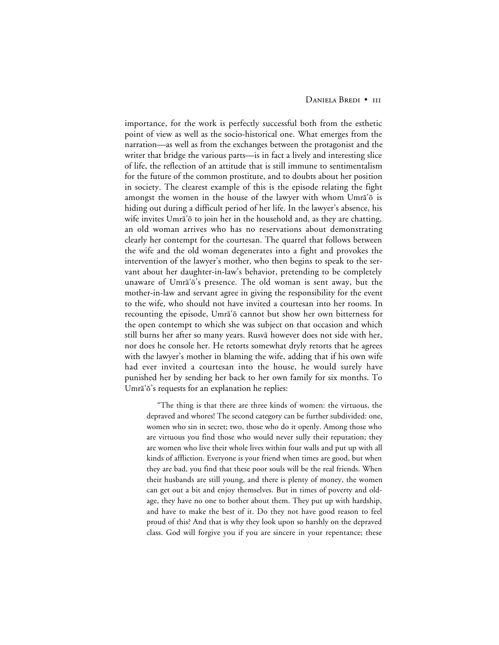importance, for the work is perfectly successful both from the esthetic point of view as well as the socio-historical one. What emerges from the narration—as well as from the exchanges between the protagonist and the writer that bridge the various parts—is in fact a lively and interesting slice of life, the reflection of an attitude that is still immune to sentimentalism for the future of the common prostitute, and to doubts about her position in society. The clearest example of this is the episode relating the fight amongst the women in the house of the lawyer with whom Umra'o is hiding out during a difficult period of her life. In the lawyer's absence, his wife invites Umra'ō to join her in the household and, as they are chatting, an old woman arrives who has no reservations about demonstrating clearly her contempt for the courtesan. The quarrel that follows between the wife and the old woman degenerates into a fight and provokes the intervention of the lawyer's mother, who then begins to speak to the servant about her daughter-in-law's behavior, pretending to be completely unaware of Umrā'ō's presence. The old woman is sent away, but the mother-in-law and servant agree in giving the responsibility for the event to the wife, who should not have invited a courtesan into her rooms. In recounting the episode, Umra'ō cannot but show her own bitterness for the open contempt to which she was subject on that occasion and which still burns her after so many years. Rusvā however does not side with her, nor does he console her. He retorts somewhat dryly retorts that he agrees with the lawyer's mother in blaming the wife, adding that if his own wife had ever invited a courtesan into the house, he would surely have punished her by sending her back to her own family for six months. To Umrā'ō's requests for an explanation he replies:

"The thing is that there are three kinds of women: the virtuous, the depraved and whores! The second category can be further subdivided: one, women who sin in secret; two, those who do it openly. Among those who are virtuous you find those who would never sully their reputation; they are women who live their whole lives within four walls and put up with all kinds of affliction. Everyone is your friend when times are good, but when they are bad, you find that these poor souls will be the real friends. When their husbands are still young, and there is plenty of money, the women can get out a bit and enjoy themselves. But in times of poverty and oldage, they have no one to bother about them. They put up with hardship, and have to make the best of it. Do they not have good reason to feel proud of this? And that is why they look upon so harshly on the depraved class. God will forgive you if you are sincere in your repentance; these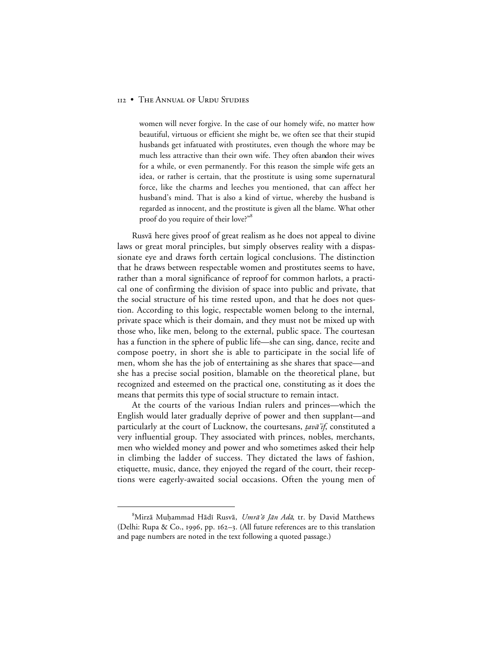## **II2 • THE ANNUAL OF URDU STUDIES**

women will never forgive. In the case of our homely wife, no matter how beautiful, virtuous or efficient she might be, we often see that their stupid husbands get infatuated with prostitutes, even though the whore may be much less attractive than their own wife. They often abandon their wives for a while, or even permanently. For this reason the simple wife gets an idea, or rather is certain, that the prostitute is using some supernatural force, like the charms and leeches you mentioned, that can affect her husband's mind. That is also a kind of virtue, whereby the husband is regarded as innocent, and the prostitute is given all the blame. What other proof do you require of their love?"<sup>8</sup>

Rusvā here gives proof of great realism as he does not appeal to divine laws or great moral principles, but simply observes reality with a dispassionate eye and draws forth certain logical conclusions. The distinction that he draws between respectable women and prostitutes seems to have, rather than a moral significance of reproof for common harlots, a practical one of confirming the division of space into public and private, that the social structure of his time rested upon, and that he does not question. According to this logic, respectable women belong to the internal, private space which is their domain, and they must not be mixed up with those who, like men, belong to the external, public space. The courtesan has a function in the sphere of public life—she can sing, dance, recite and compose poetry, in short she is able to participate in the social life of men, whom she has the job of entertaining as she shares that space—and she has a precise social position, blamable on the theoretical plane, but recognized and esteemed on the practical one, constituting as it does the means that permits this type of social structure to remain intact.

At the courts of the various Indian rulers and princes—which the English would later gradually deprive of power and then supplant—and particularly at the court of Lucknow, the courtesans, *tava'if*, constituted a very influential group. They associated with princes, nobles, merchants, men who wielded money and power and who sometimes asked their help in climbing the ladder of success. They dictated the laws of fashion, etiquette, music, dance, they enjoyed the regard of the court, their receptions were eagerly-awaited social occasions. Often the young men of

 <sup>8</sup> <sup>8</sup>Mirzā Muḥammad Hādī Rusvā, *Umrā'ō Jān Adā*, tr. by David Matthews (Delhi: Rupa & Co., 1996, pp. 162-3. (All future references are to this translation and page numbers are noted in the text following a quoted passage.)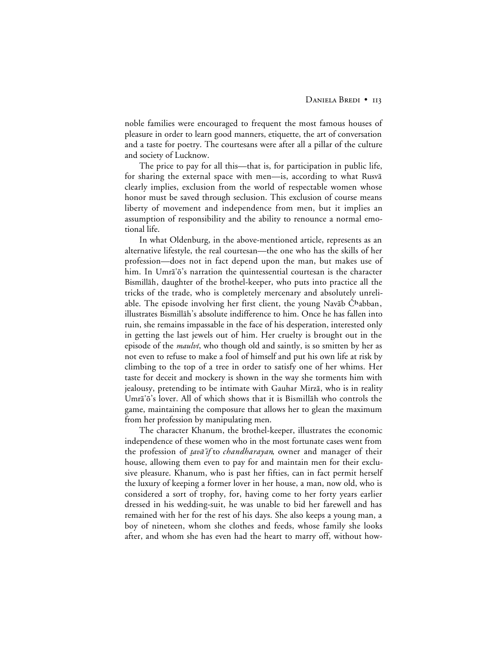noble families were encouraged to frequent the most famous houses of pleasure in order to learn good manners, etiquette, the art of conversation and a taste for poetry. The courtesans were after all a pillar of the culture and society of Lucknow.

The price to pay for all this—that is, for participation in public life, for sharing the external space with men—is, according to what Rusva clearly implies, exclusion from the world of respectable women whose honor must be saved through seclusion. This exclusion of course means liberty of movement and independence from men, but it implies an assumption of responsibility and the ability to renounce a normal emotional life.

In what Oldenburg, in the above-mentioned article, represents as an alternative lifestyle, the real courtesan—the one who has the skills of her profession—does not in fact depend upon the man, but makes use of him. In Umrā'ō's narration the quintessential courtesan is the character Bismillāh, daughter of the brothel-keeper, who puts into practice all the tricks of the trade, who is completely mercenary and absolutely unreliable. The episode involving her first client, the young Navāb Čhabban, illustrates Bismillāh's absolute indifference to him. Once he has fallen into ruin, she remains impassable in the face of his desperation, interested only in getting the last jewels out of him. Her cruelty is brought out in the episode of the *maulvi*, who though old and saintly, is so smitten by her as not even to refuse to make a fool of himself and put his own life at risk by climbing to the top of a tree in order to satisfy one of her whims. Her taste for deceit and mockery is shown in the way she torments him with jealousy, pretending to be intimate with Gauhar Mirzā, who is in reality Umrā'ō's lover. All of which shows that it is Bismillāh who controls the game, maintaining the composure that allows her to glean the maximum from her profession by manipulating men.

The character Khanum, the brothel-keeper, illustrates the economic independence of these women who in the most fortunate cases went from the profession of *tava'if* to *chandharayan*, owner and manager of their house, allowing them even to pay for and maintain men for their exclusive pleasure. Khanum, who is past her fifties, can in fact permit herself the luxury of keeping a former lover in her house, a man, now old, who is considered a sort of trophy, for, having come to her forty years earlier dressed in his wedding-suit, he was unable to bid her farewell and has remained with her for the rest of his days. She also keeps a young man, a boy of nineteen, whom she clothes and feeds, whose family she looks after, and whom she has even had the heart to marry off, without how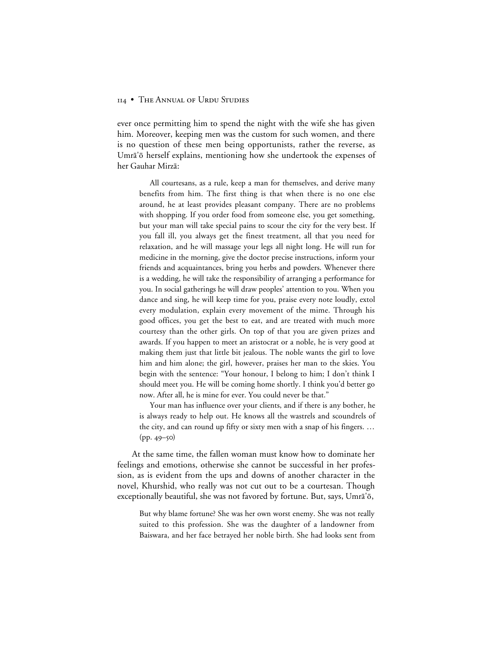ever once permitting him to spend the night with the wife she has given him. Moreover, keeping men was the custom for such women, and there is no question of these men being opportunists, rather the reverse, as Umrā'ō herself explains, mentioning how she undertook the expenses of her Gauhar Mirzā∙

All courtesans, as a rule, keep a man for themselves, and derive many benefits from him. The first thing is that when there is no one else around, he at least provides pleasant company. There are no problems with shopping. If you order food from someone else, you get something, but your man will take special pains to scour the city for the very best. If you fall ill, you always get the finest treatment, all that you need for relaxation, and he will massage your legs all night long. He will run for medicine in the morning, give the doctor precise instructions, inform your friends and acquaintances, bring you herbs and powders. Whenever there is a wedding, he will take the responsibility of arranging a performance for you. In social gatherings he will draw peoples' attention to you. When you dance and sing, he will keep time for you, praise every note loudly, extol every modulation, explain every movement of the mime. Through his good offices, you get the best to eat, and are treated with much more courtesy than the other girls. On top of that you are given prizes and awards. If you happen to meet an aristocrat or a noble, he is very good at making them just that little bit jealous. The noble wants the girl to love him and him alone; the girl, however, praises her man to the skies. You begin with the sentence: "Your honour, I belong to him; I don't think I should meet you. He will be coming home shortly. I think you'd better go now. After all, he is mine for ever. You could never be that."

Your man has influence over your clients, and if there is any bother, he is always ready to help out. He knows all the wastrels and scoundrels of the city, and can round up fifty or sixty men with a snap of his fingers. …  $(pp. 49 - 50)$ 

At the same time, the fallen woman must know how to dominate her feelings and emotions, otherwise she cannot be successful in her profession, as is evident from the ups and downs of another character in the novel, Khurshid, who really was not cut out to be a courtesan. Though exceptionally beautiful, she was not favored by fortune. But, says, Umrā'ō,

But why blame fortune? She was her own worst enemy. She was not really suited to this profession. She was the daughter of a landowner from Baiswara, and her face betrayed her noble birth. She had looks sent from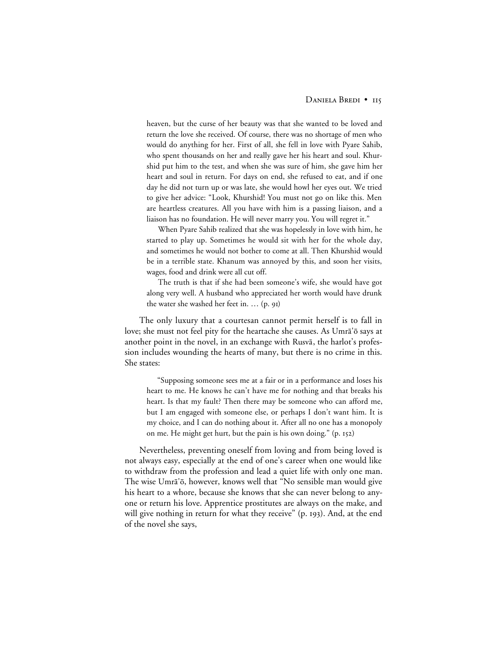heaven, but the curse of her beauty was that she wanted to be loved and return the love she received. Of course, there was no shortage of men who would do anything for her. First of all, she fell in love with Pyare Sahib, who spent thousands on her and really gave her his heart and soul. Khurshid put him to the test, and when she was sure of him, she gave him her heart and soul in return. For days on end, she refused to eat, and if one day he did not turn up or was late, she would howl her eyes out. We tried to give her advice: "Look, Khurshid! You must not go on like this. Men are heartless creatures. All you have with him is a passing liaison, and a liaison has no foundation. He will never marry you. You will regret it."

When Pyare Sahib realized that she was hopelessly in love with him, he started to play up. Sometimes he would sit with her for the whole day, and sometimes he would not bother to come at all. Then Khurshid would be in a terrible state. Khanum was annoyed by this, and soon her visits, wages, food and drink were all cut off.

The truth is that if she had been someone's wife, she would have got along very well. A husband who appreciated her worth would have drunk the water she washed her feet in.  $\ldots$  (p. 91)

The only luxury that a courtesan cannot permit herself is to fall in love; she must not feel pity for the heartache she causes. As Umra'ō says at another point in the novel, in an exchange with Rusva, the harlot's profession includes wounding the hearts of many, but there is no crime in this. She states:

"Supposing someone sees me at a fair or in a performance and loses his heart to me. He knows he can't have me for nothing and that breaks his heart. Is that my fault? Then there may be someone who can afford me, but I am engaged with someone else, or perhaps I don't want him. It is my choice, and I can do nothing about it. After all no one has a monopoly on me. He might get hurt, but the pain is his own doing." (p. 152)

Nevertheless, preventing oneself from loving and from being loved is not always easy, especially at the end of one's career when one would like to withdraw from the profession and lead a quiet life with only one man. The wise Umrā'ō, however, knows well that "No sensible man would give his heart to a whore, because she knows that she can never belong to anyone or return his love. Apprentice prostitutes are always on the make, and will give nothing in return for what they receive" (p. 193). And, at the end of the novel she says,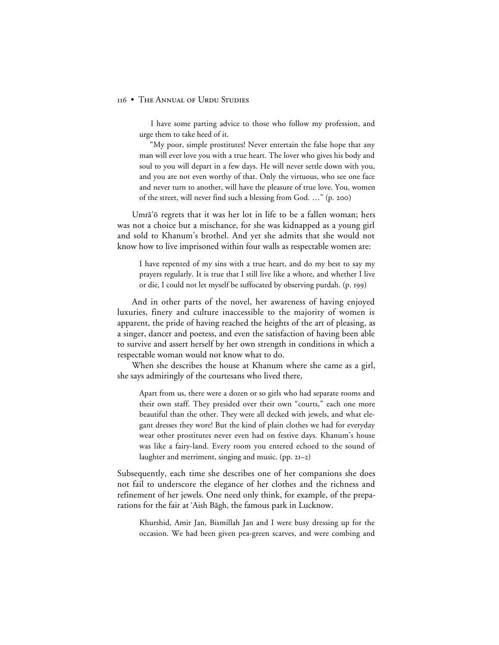I have some parting advice to those who follow my profession, and urge them to take heed of it.

"My poor, simple prostitutes! Never entertain the false hope that any man will ever love you with a true heart. The lover who gives his body and soul to you will depart in a few days. He will never settle down with you, and you are not even worthy of that. Only the virtuous, who see one face and never turn to another, will have the pleasure of true love. You, women of the street, will never find such a blessing from God. ..." (p. 200)

Umra' $\bar{o}$  regrets that it was her lot in life to be a fallen woman; hers was not a choice but a mischance, for she was kidnapped as a young girl and sold to Khanum's brothel. And yet she admits that she would not know how to live imprisoned within four walls as respectable women are:

I have repented of my sins with a true heart, and do my best to say my prayers regularly. It is true that I still live like a whore, and whether I live or die, I could not let myself be suffocated by observing purdah. (p. 199)

And in other parts of the novel, her awareness of having enjoyed luxuries, finery and culture inaccessible to the majority of women is apparent, the pride of having reached the heights of the art of pleasing, as a singer, dancer and poetess, and even the satisfaction of having been able to survive and assert herself by her own strength in conditions in which a respectable woman would not know what to do.

When she describes the house at Khanum where she came as a girl, she says admiringly of the courtesans who lived there,

Apart from us, there were a dozen or so girls who had separate rooms and their own staff. They presided over their own "courts," each one more beautiful than the other. They were all decked with jewels, and what elegant dresses they wore! But the kind of plain clothes we had for everyday wear other prostitutes never even had on festive days. Khanum's house was like a fairy-land. Every room you entered echoed to the sound of laughter and merriment, singing and music.  $(pp. 2I-2)$ 

Subsequently, each time she describes one of her companions she does not fail to underscore the elegance of her clothes and the richness and refinement of her jewels. One need only think, for example, of the preparations for the fair at 'Aish Bāgh, the famous park in Lucknow.

Khurshid, Amir Jan, Bismillah Jan and I were busy dressing up for the occasion. We had been given pea-green scarves, and were combing and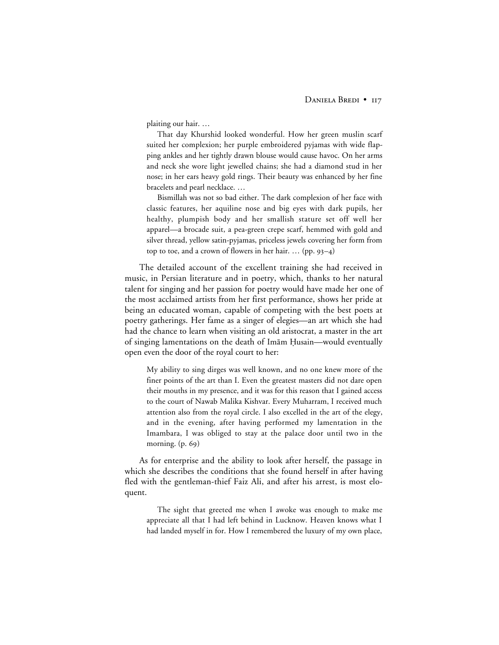plaiting our hair. …

That day Khurshid looked wonderful. How her green muslin scarf suited her complexion; her purple embroidered pyjamas with wide flapping ankles and her tightly drawn blouse would cause havoc. On her arms and neck she wore light jewelled chains; she had a diamond stud in her nose; in her ears heavy gold rings. Their beauty was enhanced by her fine bracelets and pearl necklace. …

Bismillah was not so bad either. The dark complexion of her face with classic features, her aquiline nose and big eyes with dark pupils, her healthy, plumpish body and her smallish stature set off well her apparel—a brocade suit, a pea-green crepe scarf, hemmed with gold and silver thread, yellow satin-pyjamas, priceless jewels covering her form from top to toe, and a crown of flowers in her hair. ... (pp.  $93-4$ )

The detailed account of the excellent training she had received in music, in Persian literature and in poetry, which, thanks to her natural talent for singing and her passion for poetry would have made her one of the most acclaimed artists from her first performance, shows her pride at being an educated woman, capable of competing with the best poets at poetry gatherings. Her fame as a singer of elegies—an art which she had had the chance to learn when visiting an old aristocrat, a master in the art of singing lamentations on the death of Imam Husain—would eventually open even the door of the royal court to her:

My ability to sing dirges was well known, and no one knew more of the finer points of the art than I. Even the greatest masters did not dare open their mouths in my presence, and it was for this reason that I gained access to the court of Nawab Malika Kishvar. Every Muharram, I received much attention also from the royal circle. I also excelled in the art of the elegy, and in the evening, after having performed my lamentation in the Imambara, I was obliged to stay at the palace door until two in the morning.  $(p. 69)$ 

As for enterprise and the ability to look after herself, the passage in which she describes the conditions that she found herself in after having fled with the gentleman-thief Faiz Ali, and after his arrest, is most eloquent.

The sight that greeted me when I awoke was enough to make me appreciate all that I had left behind in Lucknow. Heaven knows what I had landed myself in for. How I remembered the luxury of my own place,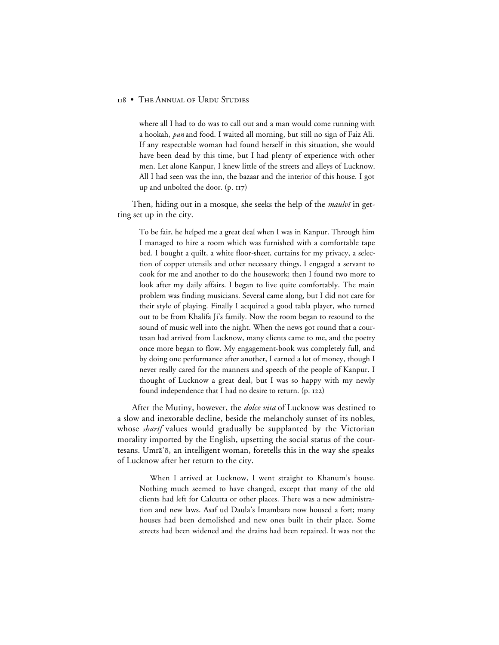where all I had to do was to call out and a man would come running with a hookah, *pan* and food. I waited all morning, but still no sign of Faiz Ali. If any respectable woman had found herself in this situation, she would have been dead by this time, but I had plenty of experience with other men. Let alone Kanpur, I knew little of the streets and alleys of Lucknow. All I had seen was the inn, the bazaar and the interior of this house. I got up and unbolted the door.  $(p. 117)$ 

Then, hiding out in a mosque, she seeks the help of the *maulvi* in getting set up in the city.

To be fair, he helped me a great deal when I was in Kanpur. Through him I managed to hire a room which was furnished with a comfortable tape bed. I bought a quilt, a white floor-sheet, curtains for my privacy, a selection of copper utensils and other necessary things. I engaged a servant to cook for me and another to do the housework; then I found two more to look after my daily affairs. I began to live quite comfortably. The main problem was finding musicians. Several came along, but I did not care for their style of playing. Finally I acquired a good tabla player, who turned out to be from Khalifa Ji's family. Now the room began to resound to the sound of music well into the night. When the news got round that a courtesan had arrived from Lucknow, many clients came to me, and the poetry once more began to flow. My engagement-book was completely full, and by doing one performance after another, I earned a lot of money, though I never really cared for the manners and speech of the people of Kanpur. I thought of Lucknow a great deal, but I was so happy with my newly found independence that I had no desire to return.  $(p. 122)$ 

After the Mutiny, however, the *dolce vita* of Lucknow was destined to a slow and inexorable decline, beside the melancholy sunset of its nobles, whose *sharif* values would gradually be supplanted by the Victorian morality imported by the English, upsetting the social status of the courtesans. Umrā'ō, an intelligent woman, foretells this in the way she speaks of Lucknow after her return to the city.

When I arrived at Lucknow, I went straight to Khanum's house. Nothing much seemed to have changed, except that many of the old clients had left for Calcutta or other places. There was a new administration and new laws. Asaf ud Daula's Imambara now housed a fort; many houses had been demolished and new ones built in their place. Some streets had been widened and the drains had been repaired. It was not the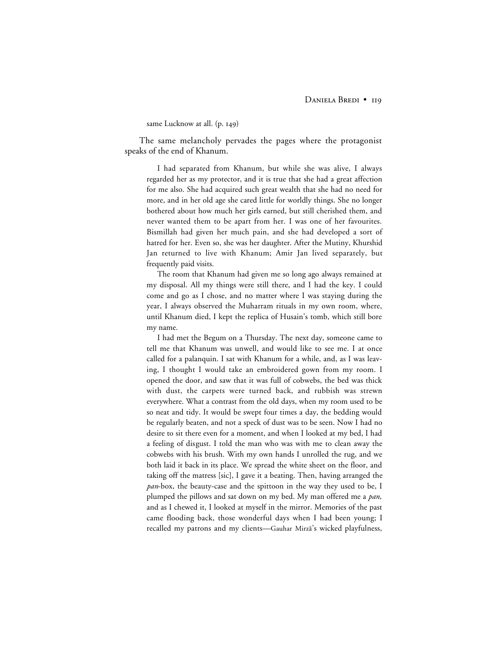same Lucknow at all. (p. 149)

The same melancholy pervades the pages where the protagonist speaks of the end of Khanum.

I had separated from Khanum, but while she was alive, I always regarded her as my protector, and it is true that she had a great affection for me also. She had acquired such great wealth that she had no need for more, and in her old age she cared little for worldly things. She no longer bothered about how much her girls earned, but still cherished them, and never wanted them to be apart from her. I was one of her favourites. Bismillah had given her much pain, and she had developed a sort of hatred for her. Even so, she was her daughter. After the Mutiny, Khurshid Jan returned to live with Khanum; Amir Jan lived separately, but frequently paid visits.

The room that Khanum had given me so long ago always remained at my disposal. All my things were still there, and I had the key. I could come and go as I chose, and no matter where I was staying during the year, I always observed the Muharram rituals in my own room, where, until Khanum died, I kept the replica of Husain's tomb, which still bore my name.

I had met the Begum on a Thursday. The next day, someone came to tell me that Khanum was unwell, and would like to see me. I at once called for a palanquin. I sat with Khanum for a while, and, as I was leaving, I thought I would take an embroidered gown from my room. I opened the door, and saw that it was full of cobwebs, the bed was thick with dust, the carpets were turned back, and rubbish was strewn everywhere. What a contrast from the old days, when my room used to be so neat and tidy. It would be swept four times a day, the bedding would be regularly beaten, and not a speck of dust was to be seen. Now I had no desire to sit there even for a moment, and when I looked at my bed, I had a feeling of disgust. I told the man who was with me to clean away the cobwebs with his brush. With my own hands I unrolled the rug, and we both laid it back in its place. We spread the white sheet on the floor, and taking off the matress [sic], I gave it a beating. Then, having arranged the *pan*-box, the beauty-case and the spittoon in the way they used to be, I plumped the pillows and sat down on my bed. My man offered me a *pan*, and as I chewed it, I looked at myself in the mirror. Memories of the past came flooding back, those wonderful days when I had been young; I recalled my patrons and my clients—Gauhar Mirzā's wicked playfulness,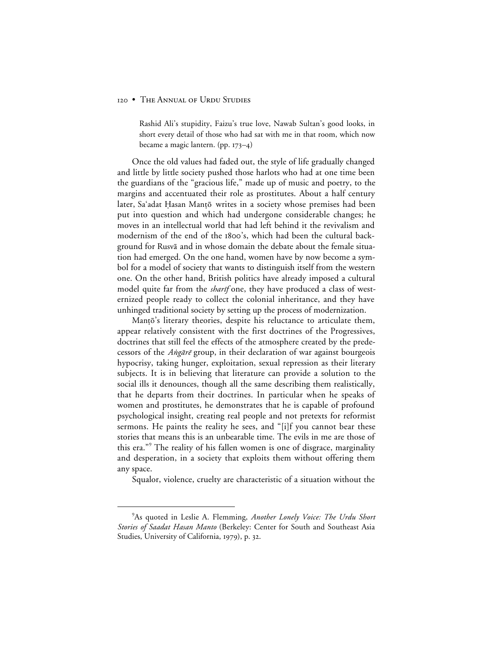Rashid Ali's stupidity, Faizu's true love, Nawab Sultan's good looks, in short every detail of those who had sat with me in that room, which now became a magic lantern. (pp.  $173-4$ )

Once the old values had faded out, the style of life gradually changed and little by little society pushed those harlots who had at one time been the guardians of the "gracious life," made up of music and poetry, to the margins and accentuated their role as prostitutes. About a half century later, Sa'adat Hasan Mantō writes in a society whose premises had been put into question and which had undergone considerable changes; he moves in an intellectual world that had left behind it the revivalism and modernism of the end of the 1800's, which had been the cultural background for Rusvā and in whose domain the debate about the female situation had emerged. On the one hand, women have by now become a symbol for a model of society that wants to distinguish itself from the western one. On the other hand, British politics have already imposed a cultural model quite far from the *sharif* one, they have produced a class of westernized people ready to collect the colonial inheritance, and they have unhinged traditional society by setting up the process of modernization.

Mantō's literary theories, despite his reluctance to articulate them, appear relatively consistent with the first doctrines of the Progressives, doctrines that still feel the effects of the atmosphere created by the predecessors of the Angare group, in their declaration of war against bourgeois hypocrisy, taking hunger, exploitation, sexual repression as their literary subjects. It is in believing that literature can provide a solution to the social ills it denounces, though all the same describing them realistically, that he departs from their doctrines. In particular when he speaks of women and prostitutes, he demonstrates that he is capable of profound psychological insight, creating real people and not pretexts for reformist sermons. He paints the reality he sees, and "[i]f you cannot bear these stories that means this is an unbearable time. The evils in me are those of this era."<sup>9</sup> The reality of his fallen women is one of disgrace, marginality and desperation, in a society that exploits them without offering them any space.

Squalor, violence, cruelty are characteristic of a situation without the

 $\frac{1}{\sqrt{2}}$ As quoted in Leslie A. Flemming, *Another Lonely Voice: The Urdu Short Stories of Saadat Hasan Manto* (Berkeley: Center for South and Southeast Asia Studies, University of California, 1979), p. 32.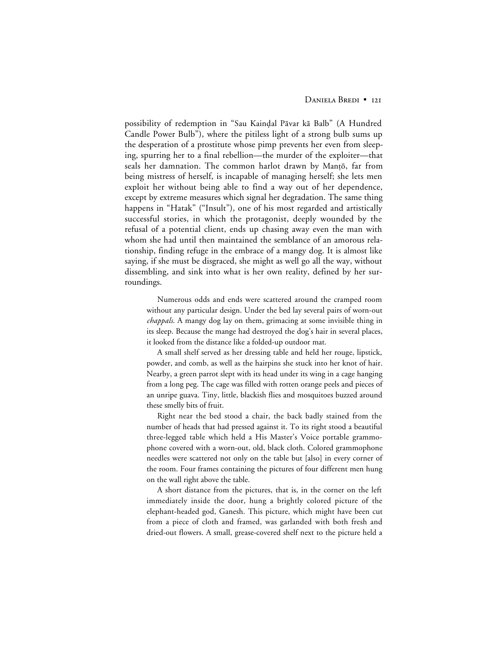possibility of redemption in "Sau Kaindal Pāvar kā Balb" (A Hundred Candle Power Bulb"), where the pitiless light of a strong bulb sums up the desperation of a prostitute whose pimp prevents her even from sleeping, spurring her to a final rebellion—the murder of the exploiter—that seals her damnation. The common harlot drawn by Mantō, far from being mistress of herself, is incapable of managing herself; she lets men exploit her without being able to find a way out of her dependence, except by extreme measures which signal her degradation. The same thing happens in "Hatak" ("Insult"), one of his most regarded and artistically successful stories, in which the protagonist, deeply wounded by the refusal of a potential client, ends up chasing away even the man with whom she had until then maintained the semblance of an amorous relationship, finding refuge in the embrace of a mangy dog. It is almost like saying, if she must be disgraced, she might as well go all the way, without dissembling, and sink into what is her own reality, defined by her surroundings.

Numerous odds and ends were scattered around the cramped room without any particular design. Under the bed lay several pairs of worn-out *chappals*. A mangy dog lay on them, grimacing at some invisible thing in its sleep. Because the mange had destroyed the dog's hair in several places, it looked from the distance like a folded-up outdoor mat.

A small shelf served as her dressing table and held her rouge, lipstick, powder, and comb, as well as the hairpins she stuck into her knot of hair. Nearby, a green parrot slept with its head under its wing in a cage hanging from a long peg. The cage was filled with rotten orange peels and pieces of an unripe guava. Tiny, little, blackish flies and mosquitoes buzzed around these smelly bits of fruit.

Right near the bed stood a chair, the back badly stained from the number of heads that had pressed against it. To its right stood a beautiful three-legged table which held a His Master's Voice portable grammophone covered with a worn-out, old, black cloth. Colored grammophone needles were scattered not only on the table but [also] in every corner of the room. Four frames containing the pictures of four different men hung on the wall right above the table.

A short distance from the pictures, that is, in the corner on the left immediately inside the door, hung a brightly colored picture of the elephant-headed god, Ganesh. This picture, which might have been cut from a piece of cloth and framed, was garlanded with both fresh and dried-out flowers. A small, grease-covered shelf next to the picture held a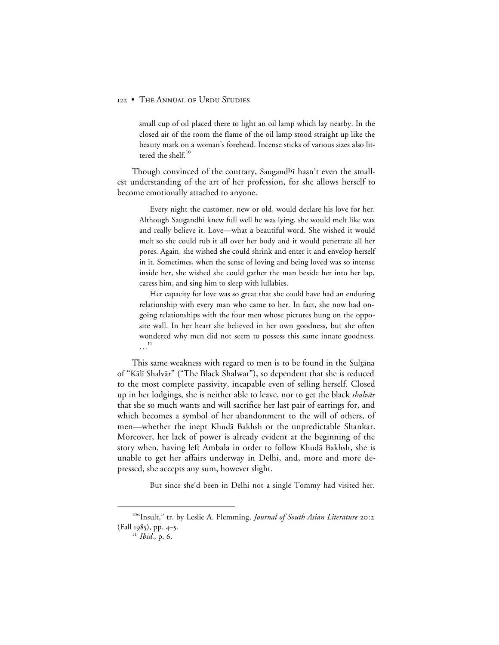small cup of oil placed there to light an oil lamp which lay nearby. In the closed air of the room the flame of the oil lamp stood straight up like the beauty mark on a woman's forehead. Incense sticks of various sizes also littered the shelf  $^{10}$ 

Though convinced of the contrary, Saugand<sup>h</sup> hasn't even the smallest understanding of the art of her profession, for she allows herself to become emotionally attached to anyone.

Every night the customer, new or old, would declare his love for her. Although Saugandhi knew full well he was lying, she would melt like wax and really believe it. Love—what a beautiful word. She wished it would melt so she could rub it all over her body and it would penetrate all her pores. Again, she wished she could shrink and enter it and envelop herself in it. Sometimes, when the sense of loving and being loved was so intense inside her, she wished she could gather the man beside her into her lap, caress him, and sing him to sleep with lullabies.

Her capacity for love was so great that she could have had an enduring relationship with every man who came to her. In fact, she now had ongoing relationships with the four men whose pictures hung on the opposite wall. In her heart she believed in her own goodness, but she often wondered why men did not seem to possess this same innate goodness. …11

This same weakness with regard to men is to be found in the Sultāna of "Kālī Shalvār" ("The Black Shalwar"), so dependent that she is reduced to the most complete passivity, incapable even of selling herself. Closed up in her lodgings, she is neither able to leave, nor to get the black shalvār that she so much wants and will sacrifice her last pair of earrings for, and which becomes a symbol of her abandonment to the will of others, of men—whether the inept Khudā Bakhsh or the unpredictable Shankar. Moreover, her lack of power is already evident at the beginning of the story when, having left Ambala in order to follow Khudā Bakhsh, she is unable to get her affairs underway in Delhi, and, more and more depressed, she accepts any sum, however slight.

But since she'd been in Delhi not a single Tommy had visited her.

<sup>&</sup>lt;sup>10"</sup>Insult," tr. by Leslie A. Flemming, *Journal of South Asian Literature* 20:2 (Fall 1985), pp. 4-5.

<sup>&</sup>lt;sup>11</sup> *Ibid.*, p. 6.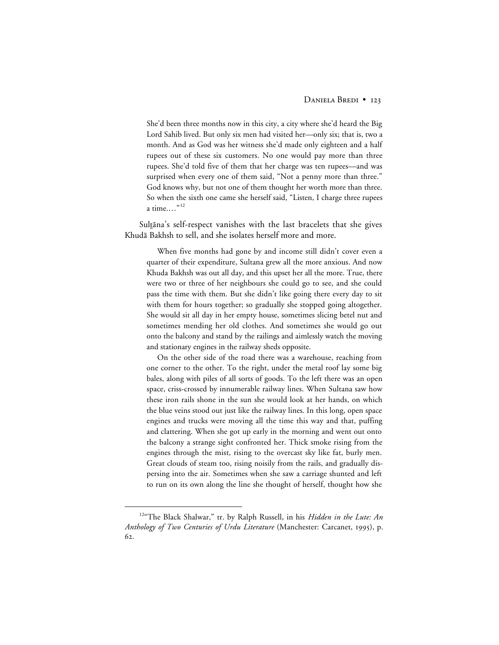She'd been three months now in this city, a city where she'd heard the Big Lord Sahib lived. But only six men had visited her—only six; that is, two a month. And as God was her witness she'd made only eighteen and a half rupees out of these six customers. No one would pay more than three rupees. She'd told five of them that her charge was ten rupees—and was surprised when every one of them said, "Not a penny more than three." God knows why, but not one of them thought her worth more than three. So when the sixth one came she herself said, "Listen, I charge three rupees a time... $^{12}$ 

Sultāna's self-respect vanishes with the last bracelets that she gives Khudā Bakhsh to sell, and she isolates herself more and more.

When five months had gone by and income still didn't cover even a quarter of their expenditure, Sultana grew all the more anxious. And now Khuda Bakhsh was out all day, and this upset her all the more. True, there were two or three of her neighbours she could go to see, and she could pass the time with them. But she didn't like going there every day to sit with them for hours together; so gradually she stopped going altogether. She would sit all day in her empty house, sometimes slicing betel nut and sometimes mending her old clothes. And sometimes she would go out onto the balcony and stand by the railings and aimlessly watch the moving and stationary engines in the railway sheds opposite.

On the other side of the road there was a warehouse, reaching from one corner to the other. To the right, under the metal roof lay some big bales, along with piles of all sorts of goods. To the left there was an open space, criss-crossed by innumerable railway lines. When Sultana saw how these iron rails shone in the sun she would look at her hands, on which the blue veins stood out just like the railway lines. In this long, open space engines and trucks were moving all the time this way and that, puffing and clattering. When she got up early in the morning and went out onto the balcony a strange sight confronted her. Thick smoke rising from the engines through the mist, rising to the overcast sky like fat, burly men. Great clouds of steam too, rising noisily from the rails, and gradually dispersing into the air. Sometimes when she saw a carriage shunted and left to run on its own along the line she thought of herself, thought how she

 <sup>12&</sup>quot;The Black Shalwar," tr. by Ralph Russell, in his *Hidden in the Lute: An* Anthology of Two Centuries of Urdu Literature (Manchester: Carcanet, 1995), p. 62.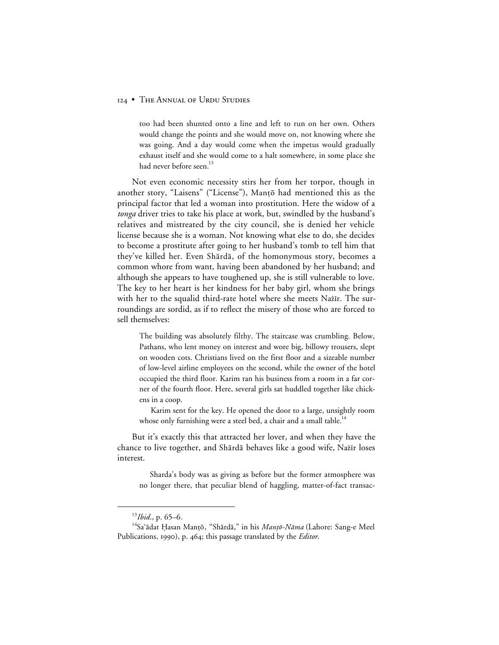too had been shunted onto a line and left to run on her own. Others would change the points and she would move on, not knowing where she was going. And a day would come when the impetus would gradually exhaust itself and she would come to a halt somewhere, in some place she had never before seen.<sup>13</sup>

Not even economic necessity stirs her from her torpor, though in another story, "Laisens" ("License"), Mantō had mentioned this as the principal factor that led a woman into prostitution. Here the widow of a *tonga* driver tries to take his place at work, but, swindled by the husband's relatives and mistreated by the city council, she is denied her vehicle license because she is a woman. Not knowing what else to do, she decides to become a prostitute after going to her husband's tomb to tell him that they've killed her. Even Shārdā, of the homonymous story, becomes a common whore from want, having been abandoned by her husband; and although she appears to have toughened up, she is still vulnerable to love. The key to her heart is her kindness for her baby girl, whom she brings with her to the squalid third-rate hotel where she meets Nažīr. The surroundings are sordid, as if to reflect the misery of those who are forced to sell themselves:

The building was absolutely filthy. The staircase was crumbling. Below, Pathans, who lent money on interest and wore big, billowy trousers, slept on wooden cots. Christians lived on the first floor and a sizeable number of low-level airline employees on the second, while the owner of the hotel occupied the third floor. Karim ran his business from a room in a far corner of the fourth floor. Here, several girls sat huddled together like chickens in a coop.

Karim sent for the key. He opened the door to a large, unsightly room whose only furnishing were a steel bed, a chair and a small table.<sup>14</sup>

But it's exactly this that attracted her lover, and when they have the chance to live together, and Shārdā behaves like a good wife, Nažīr loses interest.

Sharda's body was as giving as before but the former atmosphere was no longer there, that peculiar blend of haggling, matter-of-fact transac-

 <sup>13</sup>*Ibid*., p. 65–6*.*

<sup>&</sup>lt;sup>14</sup>Sa'ādat Ḥasan Manṭō, "Shārdā," in his Manṭō-Nāma (Lahore: Sang-e Meel Publications, 1990), p. 464; this passage translated by the *Editor*.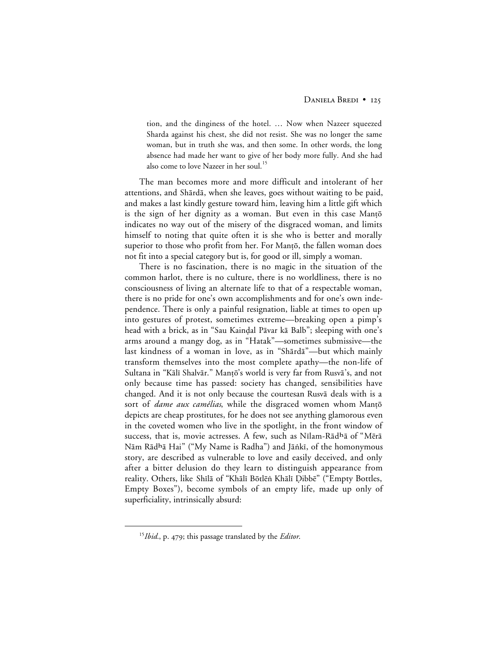tion, and the dinginess of the hotel. … Now when Nazeer squeezed Sharda against his chest, she did not resist. She was no longer the same woman, but in truth she was, and then some. In other words, the long absence had made her want to give of her body more fully. And she had also come to love Nazeer in her soul.<sup>15</sup>

The man becomes more and more difficult and intolerant of her attentions, and Shārdā, when she leaves, goes without waiting to be paid, and makes a last kindly gesture toward him, leaving him a little gift which is the sign of her dignity as a woman. But even in this case Manto indicates no way out of the misery of the disgraced woman, and limits himself to noting that quite often it is she who is better and morally superior to those who profit from her. For Mantō, the fallen woman does not fit into a special category but is, for good or ill, simply a woman.

There is no fascination, there is no magic in the situation of the common harlot, there is no culture, there is no worldliness, there is no consciousness of living an alternate life to that of a respectable woman, there is no pride for one's own accomplishments and for one's own independence. There is only a painful resignation, liable at times to open up into gestures of protest, sometimes extreme—breaking open a pimp's head with a brick, as in "Sau Kaindal Pāvar kā Balb"; sleeping with one's arms around a mangy dog, as in "Hatak"—sometimes submissive—the last kindness of a woman in love, as in "Sharda"—but which mainly transform themselves into the most complete apathy—the non-life of Sultana in "Kālī Shalvār." Mantō's world is very far from Rusvā's, and not only because time has passed: society has changed, sensibilities have changed. And it is not only because the courtesan Rusva deals with is a sort of *dame aux camélias*, while the disgraced women whom Manto depicts are cheap prostitutes, for he does not see anything glamorous even in the coveted women who live in the spotlight, in the front window of success, that is, movie actresses. A few, such as Nīlam-Rādhā of "Mērā Nām Rād<sup>h</sup>ā Hai" ("My Name is Radha") and Jāṅkī, of the homonymous story, are described as vulnerable to love and easily deceived, and only after a bitter delusion do they learn to distinguish appearance from reality. Others, like Shīlā of "Khālī Bōtlēṅ Khālī Dibbē" ("Empty Bottles, Empty Boxes"), become symbols of an empty life, made up only of superficiality, intrinsically absurd:

<sup>&</sup>lt;sup>15</sup>*Ibid.*, p. 479; this passage translated by the *Editor*.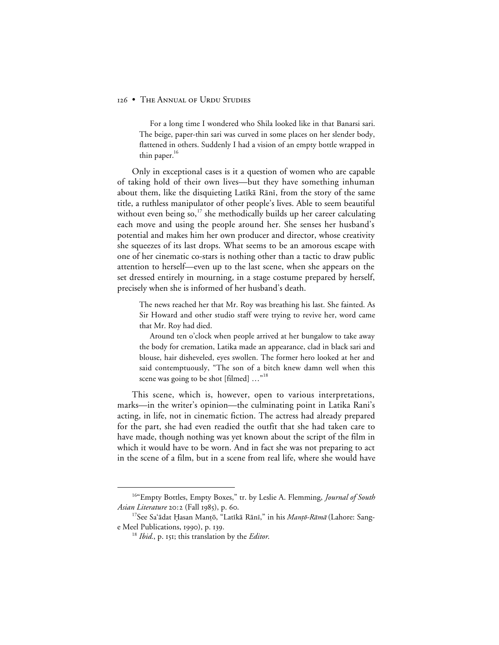For a long time I wondered who Shila looked like in that Banarsi sari. The beige, paper-thin sari was curved in some places on her slender body, flattened in others. Suddenly I had a vision of an empty bottle wrapped in thin paper.<sup>16</sup>

Only in exceptional cases is it a question of women who are capable of taking hold of their own lives—but they have something inhuman about them, like the disquieting Latīkā Rānī, from the story of the same title, a ruthless manipulator of other people's lives. Able to seem beautiful without even being so, $^{17}$  she methodically builds up her career calculating each move and using the people around her. She senses her husband's potential and makes him her own producer and director, whose creativity she squeezes of its last drops. What seems to be an amorous escape with one of her cinematic co-stars is nothing other than a tactic to draw public attention to herself—even up to the last scene, when she appears on the set dressed entirely in mourning, in a stage costume prepared by herself, precisely when she is informed of her husband's death.

The news reached her that Mr. Roy was breathing his last. She fainted. As Sir Howard and other studio staff were trying to revive her, word came that Mr. Roy had died.

Around ten o'clock when people arrived at her bungalow to take away the body for cremation, Latika made an appearance, clad in black sari and blouse, hair disheveled, eyes swollen. The former hero looked at her and said contemptuously, "The son of a bitch knew damn well when this scene was going to be shot [filmed] ..."<sup>18</sup>

This scene, which is, however, open to various interpretations, marks—in the writer's opinion—the culminating point in Latika Rani's acting, in life, not in cinematic fiction. The actress had already prepared for the part, she had even readied the outfit that she had taken care to have made, though nothing was yet known about the script of the film in which it would have to be worn. And in fact she was not preparing to act in the scene of a film, but in a scene from real life, where she would have

<sup>&</sup>lt;sup>16"</sup>Empty Bottles, Empty Boxes," tr. by Leslie A. Flemming, *Journal of South Asian Literature* 20:2 (Fall 1985), p. 60.

<sup>&</sup>lt;sup>17</sup>See Sa'ādat Ḥasan Manṭō, "Latīkā Rānī," in his *Manṭō-Rāmā* (Lahore: Sange Meel Publications, 1990), p. 139.

<sup>&</sup>lt;sup>18</sup> *Ibid.*, p. 151; this translation by the *Editor*.